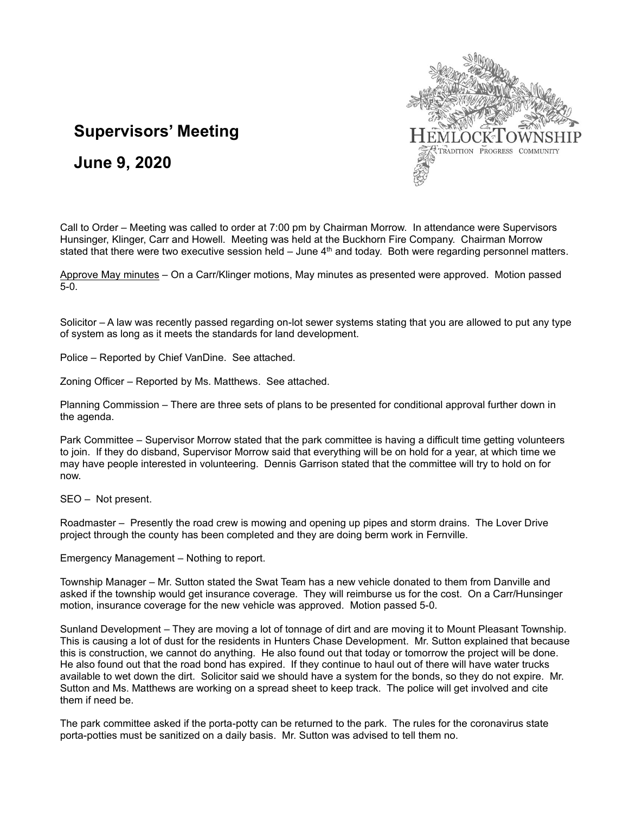

## **Supervisors' Meeting**

**June 9, 2020**

Call to Order – Meeting was called to order at 7:00 pm by Chairman Morrow. In attendance were Supervisors Hunsinger, Klinger, Carr and Howell. Meeting was held at the Buckhorn Fire Company. Chairman Morrow stated that there were two executive session held  $-$  June  $4<sup>th</sup>$  and today. Both were regarding personnel matters.

Approve May minutes - On a Carr/Klinger motions, May minutes as presented were approved. Motion passed 5-0.

Solicitor – A law was recently passed regarding on-lot sewer systems stating that you are allowed to put any type of system as long as it meets the standards for land development.

Police – Reported by Chief VanDine. See attached.

Zoning Officer – Reported by Ms. Matthews. See attached.

Planning Commission – There are three sets of plans to be presented for conditional approval further down in the agenda.

Park Committee – Supervisor Morrow stated that the park committee is having a difficult time getting volunteers to join. If they do disband, Supervisor Morrow said that everything will be on hold for a year, at which time we may have people interested in volunteering. Dennis Garrison stated that the committee will try to hold on for now.

SEO – Not present.

Roadmaster – Presently the road crew is mowing and opening up pipes and storm drains. The Lover Drive project through the county has been completed and they are doing berm work in Fernville.

Emergency Management – Nothing to report.

Township Manager – Mr. Sutton stated the Swat Team has a new vehicle donated to them from Danville and asked if the township would get insurance coverage. They will reimburse us for the cost. On a Carr/Hunsinger motion, insurance coverage for the new vehicle was approved. Motion passed 5-0.

Sunland Development – They are moving a lot of tonnage of dirt and are moving it to Mount Pleasant Township. This is causing a lot of dust for the residents in Hunters Chase Development. Mr. Sutton explained that because this is construction, we cannot do anything. He also found out that today or tomorrow the project will be done. He also found out that the road bond has expired. If they continue to haul out of there will have water trucks available to wet down the dirt. Solicitor said we should have a system for the bonds, so they do not expire. Mr. Sutton and Ms. Matthews are working on a spread sheet to keep track. The police will get involved and cite them if need be.

The park committee asked if the porta-potty can be returned to the park. The rules for the coronavirus state porta-potties must be sanitized on a daily basis. Mr. Sutton was advised to tell them no.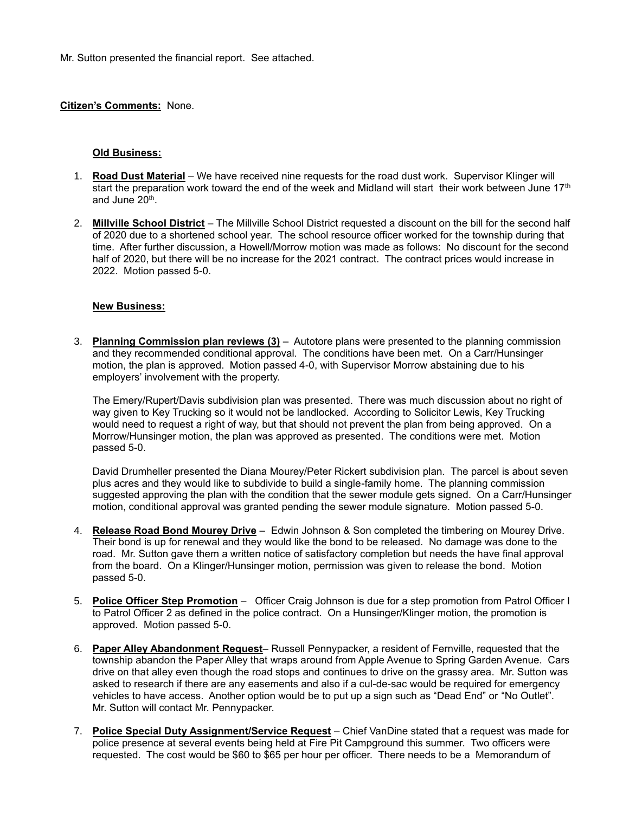Mr. Sutton presented the financial report. See attached.

## **Citizen's Comments:** None.

## **Old Business:**

- 1. **Road Dust Material** We have received nine requests for the road dust work. Supervisor Klinger will start the preparation work toward the end of the week and Midland will start their work between June  $17<sup>th</sup>$ and June 20<sup>th</sup>.
- 2. **Millville School District** The Millville School District requested a discount on the bill for the second half of 2020 due to a shortened school year. The school resource officer worked for the township during that time. After further discussion, a Howell/Morrow motion was made as follows: No discount for the second half of 2020, but there will be no increase for the 2021 contract. The contract prices would increase in 2022. Motion passed 5-0.

## **New Business:**

3. **Planning Commission plan reviews (3)** – Autotore plans were presented to the planning commission and they recommended conditional approval. The conditions have been met. On a Carr/Hunsinger motion, the plan is approved. Motion passed 4-0, with Supervisor Morrow abstaining due to his employers' involvement with the property.

The Emery/Rupert/Davis subdivision plan was presented. There was much discussion about no right of way given to Key Trucking so it would not be landlocked. According to Solicitor Lewis, Key Trucking would need to request a right of way, but that should not prevent the plan from being approved. On a Morrow/Hunsinger motion, the plan was approved as presented. The conditions were met. Motion passed 5-0.

David Drumheller presented the Diana Mourey/Peter Rickert subdivision plan. The parcel is about seven plus acres and they would like to subdivide to build a single-family home. The planning commission suggested approving the plan with the condition that the sewer module gets signed. On a Carr/Hunsinger motion, conditional approval was granted pending the sewer module signature. Motion passed 5-0.

- 4. **Release Road Bond Mourey Drive** Edwin Johnson & Son completed the timbering on Mourey Drive. Their bond is up for renewal and they would like the bond to be released. No damage was done to the road. Mr. Sutton gave them a written notice of satisfactory completion but needs the have final approval from the board. On a Klinger/Hunsinger motion, permission was given to release the bond. Motion passed 5-0.
- 5. **Police Officer Step Promotion** Officer Craig Johnson is due for a step promotion from Patrol Officer I to Patrol Officer 2 as defined in the police contract. On a Hunsinger/Klinger motion, the promotion is approved. Motion passed 5-0.
- 6. **Paper Alley Abandonment Request** Russell Pennypacker, a resident of Fernville, requested that the township abandon the Paper Alley that wraps around from Apple Avenue to Spring Garden Avenue. Cars drive on that alley even though the road stops and continues to drive on the grassy area. Mr. Sutton was asked to research if there are any easements and also if a cul-de-sac would be required for emergency vehicles to have access. Another option would be to put up a sign such as "Dead End" or "No Outlet". Mr. Sutton will contact Mr. Pennypacker.
- 7. **Police Special Duty Assignment/Service Request** Chief VanDine stated that a request was made for police presence at several events being held at Fire Pit Campground this summer. Two officers were requested. The cost would be \$60 to \$65 per hour per officer. There needs to be a Memorandum of